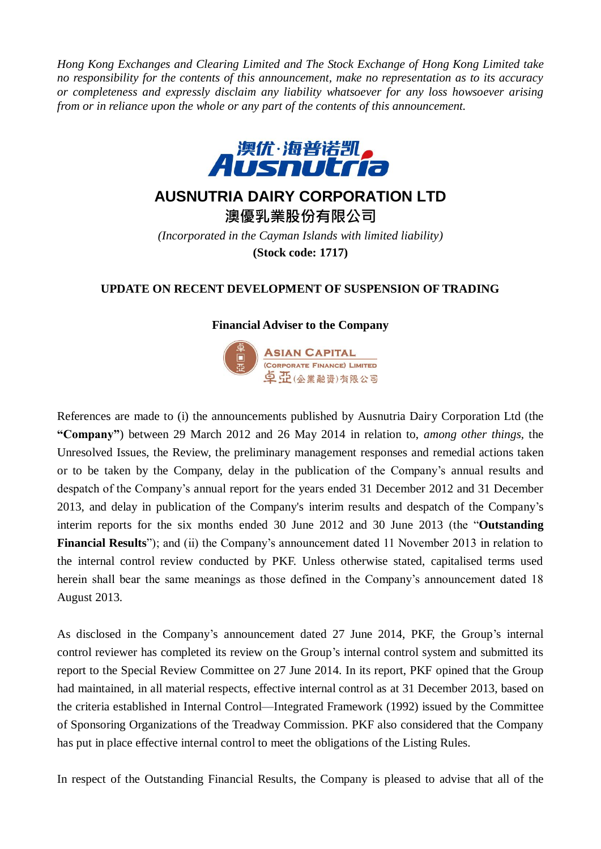*Hong Kong Exchanges and Clearing Limited and The Stock Exchange of Hong Kong Limited take no responsibility for the contents of this announcement, make no representation as to its accuracy or completeness and expressly disclaim any liability whatsoever for any loss howsoever arising from or in reliance upon the whole or any part of the contents of this announcement.*



## **AUSNUTRIA DAIRY CORPORATION LTD**

**澳優乳業股份有限公司** *(Incorporated in the Cayman Islands with limited liability)* **(Stock code: 1717)**

## **UPDATE ON RECENT DEVELOPMENT OF SUSPENSION OF TRADING**

## **Financial Adviser to the Company**



References are made to (i) the announcements published by Ausnutria Dairy Corporation Ltd (the **"Company"**) between 29 March 2012 and 26 May 2014 in relation to, *among other things,* the Unresolved Issues, the Review, the preliminary management responses and remedial actions taken or to be taken by the Company, delay in the publication of the Company's annual results and despatch of the Company's annual report for the years ended 31 December 2012 and 31 December 2013, and delay in publication of the Company's interim results and despatch of the Company's interim reports for the six months ended 30 June 2012 and 30 June 2013 (the "**Outstanding Financial Results**"); and (ii) the Company's announcement dated 11 November 2013 in relation to the internal control review conducted by PKF. Unless otherwise stated, capitalised terms used herein shall bear the same meanings as those defined in the Company's announcement dated 18 August 2013.

As disclosed in the Company's announcement dated 27 June 2014, PKF, the Group's internal control reviewer has completed its review on the Group's internal control system and submitted its report to the Special Review Committee on 27 June 2014. In its report, PKF opined that the Group had maintained, in all material respects, effective internal control as at 31 December 2013, based on the criteria established in Internal Control—Integrated Framework (1992) issued by the Committee of Sponsoring Organizations of the Treadway Commission. PKF also considered that the Company has put in place effective internal control to meet the obligations of the Listing Rules.

In respect of the Outstanding Financial Results, the Company is pleased to advise that all of the